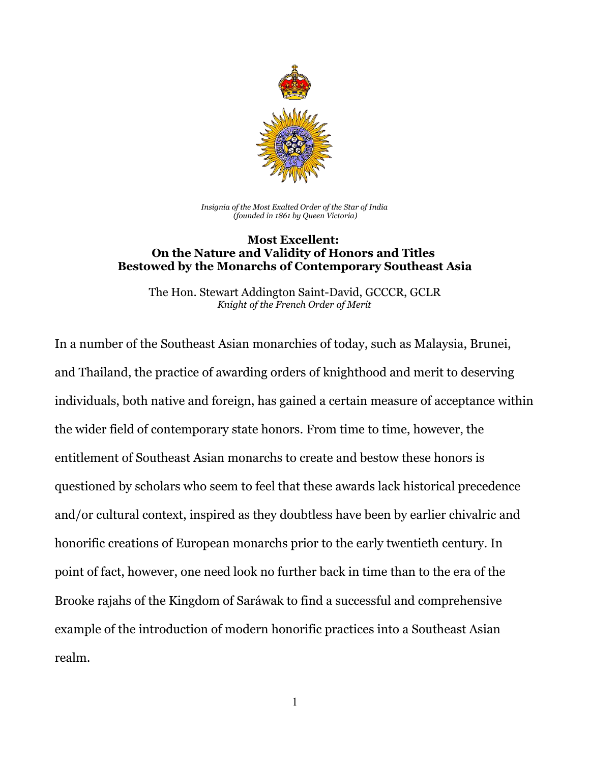

*Insignia of the Most Exalted Order of the Star of India (founded in 1861 by Queen Victoria)*

## **Most Excellent: On the Nature and Validity of Honors and Titles Bestowed by the Monarchs of Contemporary Southeast Asia**

The Hon. Stewart Addington Saint-David, GCCCR, GCLR *Knight of the French Order of Merit*

In a number of the Southeast Asian monarchies of today, such as Malaysia, Brunei, and Thailand, the practice of awarding orders of knighthood and merit to deserving individuals, both native and foreign, has gained a certain measure of acceptance within the wider field of contemporary state honors. From time to time, however, the entitlement of Southeast Asian monarchs to create and bestow these honors is questioned by scholars who seem to feel that these awards lack historical precedence and/or cultural context, inspired as they doubtless have been by earlier chivalric and honorific creations of European monarchs prior to the early twentieth century. In point of fact, however, one need look no further back in time than to the era of the Brooke rajahs of the Kingdom of Saráwak to find a successful and comprehensive example of the introduction of modern honorific practices into a Southeast Asian realm.

1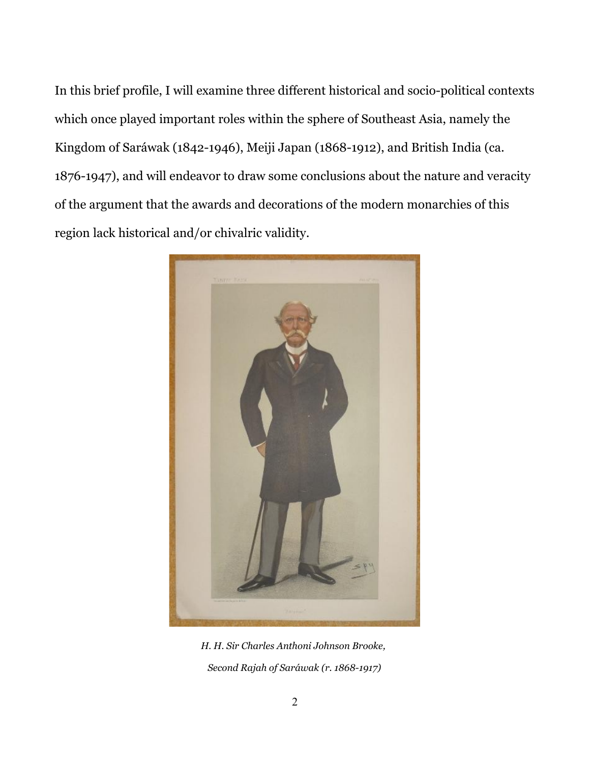In this brief profile, I will examine three different historical and socio-political contexts which once played important roles within the sphere of Southeast Asia, namely the Kingdom of Saráwak (1842-1946), Meiji Japan (1868-1912), and British India (ca. 1876-1947), and will endeavor to draw some conclusions about the nature and veracity of the argument that the awards and decorations of the modern monarchies of this region lack historical and/or chivalric validity.



*H. H. Sir Charles Anthoni Johnson Brooke, Second Rajah of Saráwak (r. 1868-1917)*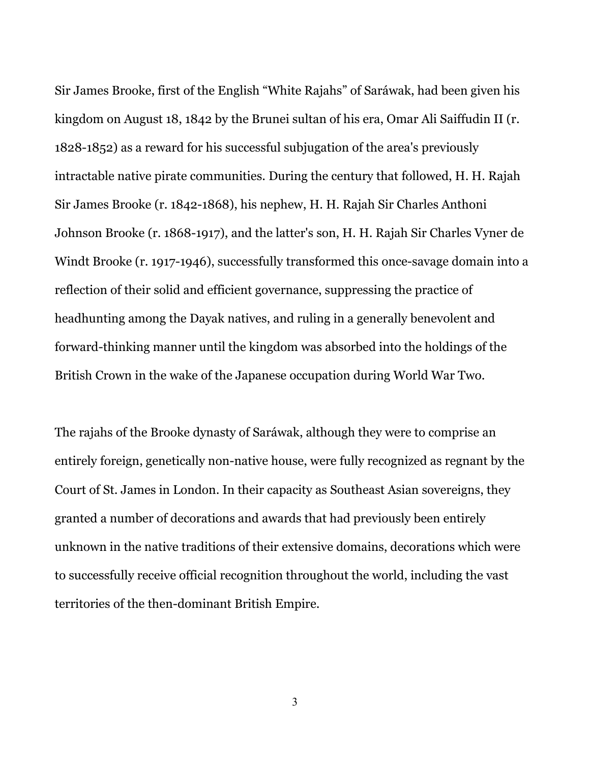Sir James Brooke, first of the English "White Rajahs" of Saráwak, had been given his kingdom on August 18, 1842 by the Brunei sultan of his era, Omar Ali Saiffudin II (r. 1828-1852) as a reward for his successful subjugation of the area's previously intractable native pirate communities. During the century that followed, H. H. Rajah Sir James Brooke (r. 1842-1868), his nephew, H. H. Rajah Sir Charles Anthoni Johnson Brooke (r. 1868-1917), and the latter's son, H. H. Rajah Sir Charles Vyner de Windt Brooke (r. 1917-1946), successfully transformed this once-savage domain into a reflection of their solid and efficient governance, suppressing the practice of headhunting among the Dayak natives, and ruling in a generally benevolent and forward-thinking manner until the kingdom was absorbed into the holdings of the British Crown in the wake of the Japanese occupation during World War Two.

The rajahs of the Brooke dynasty of Saráwak, although they were to comprise an entirely foreign, genetically non-native house, were fully recognized as regnant by the Court of St. James in London. In their capacity as Southeast Asian sovereigns, they granted a number of decorations and awards that had previously been entirely unknown in the native traditions of their extensive domains, decorations which were to successfully receive official recognition throughout the world, including the vast territories of the then-dominant British Empire.

3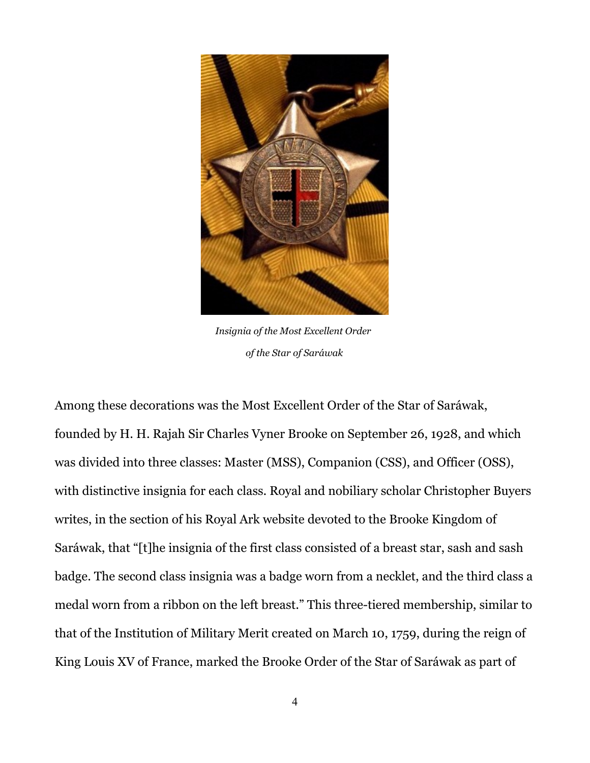

*Insignia of the Most Excellent Order of the Star of Saráwak*

Among these decorations was the Most Excellent Order of the Star of Saráwak, founded by H. H. Rajah Sir Charles Vyner Brooke on September 26, 1928, and which was divided into three classes: Master (MSS), Companion (CSS), and Officer (OSS), with distinctive insignia for each class. Royal and nobiliary scholar Christopher Buyers writes, in the section of his Royal Ark website devoted to the Brooke Kingdom of Saráwak, that "[t]he insignia of the first class consisted of a breast star, sash and sash badge. The second class insignia was a badge worn from a necklet, and the third class a medal worn from a ribbon on the left breast." This three-tiered membership, similar to that of the Institution of Military Merit created on March 10, 1759, during the reign of King Louis XV of France, marked the Brooke Order of the Star of Saráwak as part of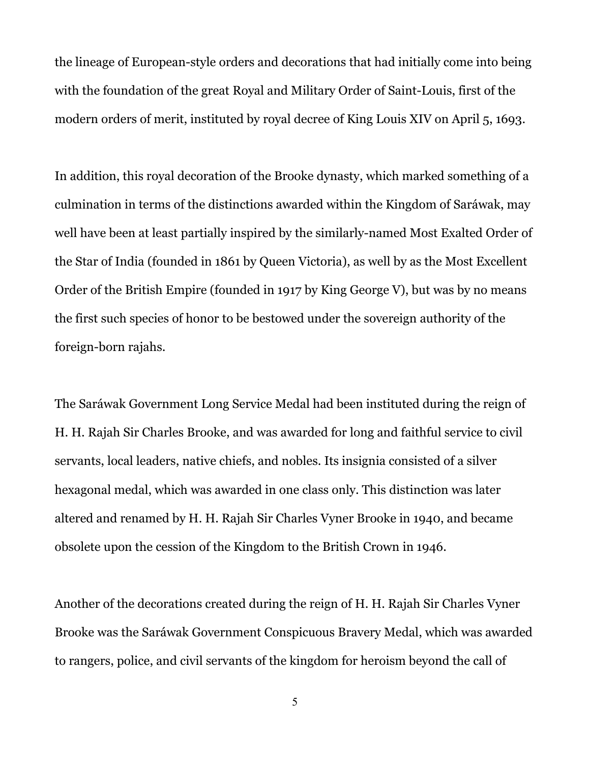the lineage of European-style orders and decorations that had initially come into being with the foundation of the great Royal and Military Order of Saint-Louis, first of the modern orders of merit, instituted by royal decree of King Louis XIV on April 5, 1693.

In addition, this royal decoration of the Brooke dynasty, which marked something of a culmination in terms of the distinctions awarded within the Kingdom of Saráwak, may well have been at least partially inspired by the similarly-named Most Exalted Order of the Star of India (founded in 1861 by Queen Victoria), as well by as the Most Excellent Order of the British Empire (founded in 1917 by King George V), but was by no means the first such species of honor to be bestowed under the sovereign authority of the foreign-born rajahs.

The Saráwak Government Long Service Medal had been instituted during the reign of H. H. Rajah Sir Charles Brooke, and was awarded for long and faithful service to civil servants, local leaders, native chiefs, and nobles. Its insignia consisted of a silver hexagonal medal, which was awarded in one class only. This distinction was later altered and renamed by H. H. Rajah Sir Charles Vyner Brooke in 1940, and became obsolete upon the cession of the Kingdom to the British Crown in 1946.

Another of the decorations created during the reign of H. H. Rajah Sir Charles Vyner Brooke was the Saráwak Government Conspicuous Bravery Medal, which was awarded to rangers, police, and civil servants of the kingdom for heroism beyond the call of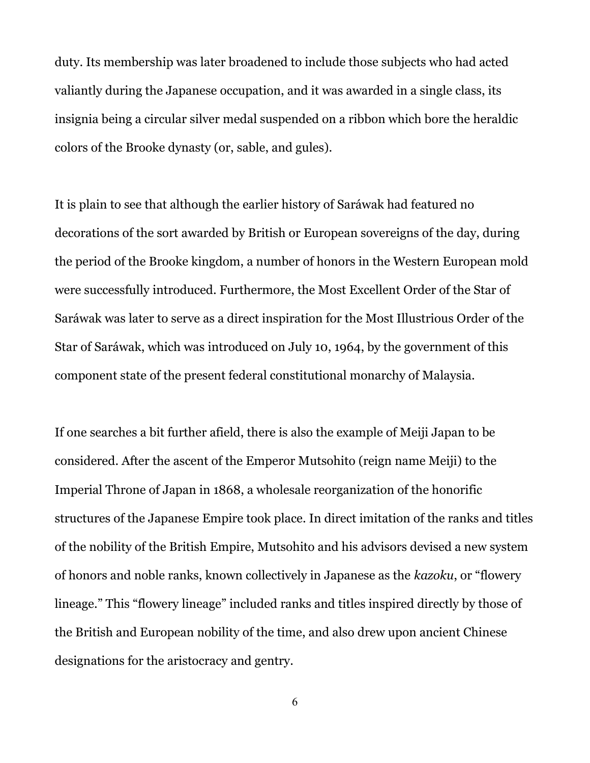duty. Its membership was later broadened to include those subjects who had acted valiantly during the Japanese occupation, and it was awarded in a single class, its insignia being a circular silver medal suspended on a ribbon which bore the heraldic colors of the Brooke dynasty (or, sable, and gules).

It is plain to see that although the earlier history of Saráwak had featured no decorations of the sort awarded by British or European sovereigns of the day, during the period of the Brooke kingdom, a number of honors in the Western European mold were successfully introduced. Furthermore, the Most Excellent Order of the Star of Saráwak was later to serve as a direct inspiration for the Most Illustrious Order of the Star of Saráwak, which was introduced on July 10, 1964, by the government of this component state of the present federal constitutional monarchy of Malaysia.

If one searches a bit further afield, there is also the example of Meiji Japan to be considered. After the ascent of the Emperor Mutsohito (reign name Meiji) to the Imperial Throne of Japan in 1868, a wholesale reorganization of the honorific structures of the Japanese Empire took place. In direct imitation of the ranks and titles of the nobility of the British Empire, Mutsohito and his advisors devised a new system of honors and noble ranks, known collectively in Japanese as the *kazoku*, or "flowery lineage." This "flowery lineage" included ranks and titles inspired directly by those of the British and European nobility of the time, and also drew upon ancient Chinese designations for the aristocracy and gentry.

6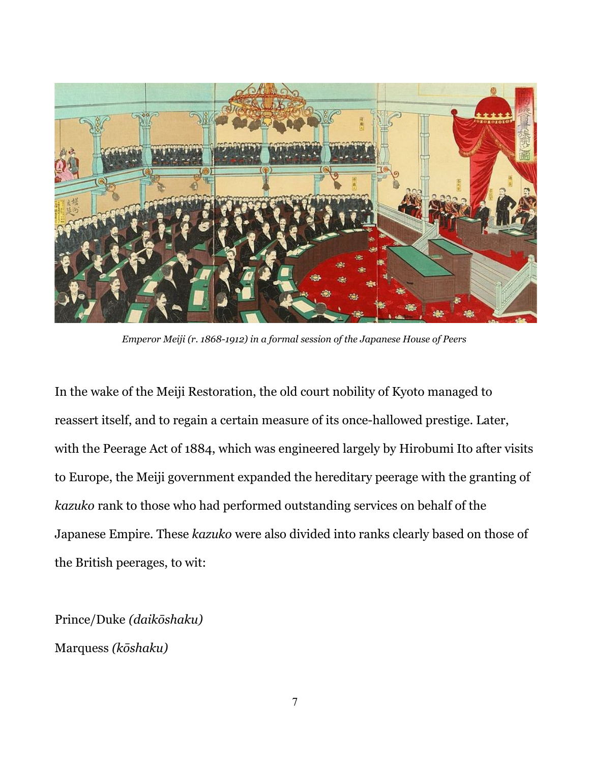

*Emperor Meiji (r. 1868-1912) in a formal session of the Japanese House of Peers*

In the wake of the Meiji Restoration, the old court nobility of Kyoto managed to reassert itself, and to regain a certain measure of its once-hallowed prestige. Later, with the Peerage Act of 1884, which was engineered largely by Hirobumi Ito after visits to Europe, the Meiji government expanded the hereditary peerage with the granting of *kazuko* rank to those who had performed outstanding services on behalf of the Japanese Empire. These *kazuko* were also divided into ranks clearly based on those of the British peerages, to wit:

Prince/Duke *(daikōshaku)* Marquess *(kōshaku)*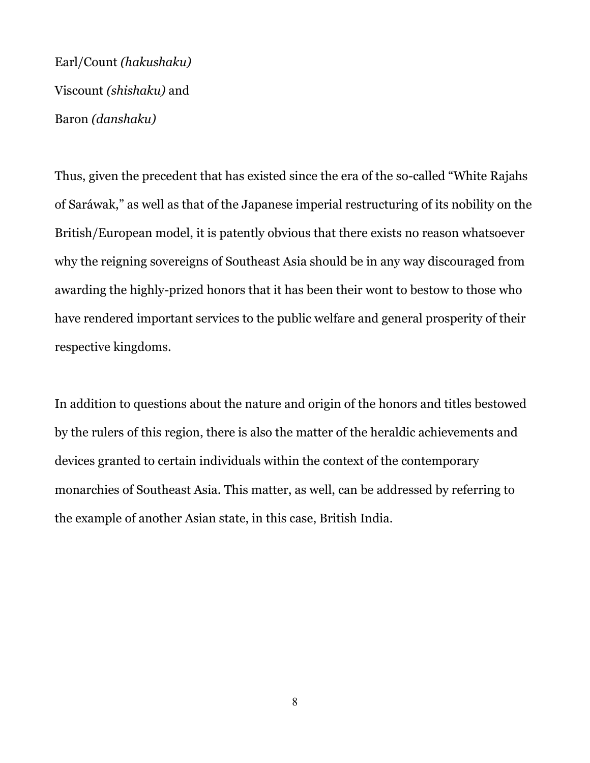Earl/Count *(hakushaku)* Viscount *(shishaku)* and Baron *(danshaku)*

Thus, given the precedent that has existed since the era of the so-called "White Rajahs of Saráwak," as well as that of the Japanese imperial restructuring of its nobility on the British/European model, it is patently obvious that there exists no reason whatsoever why the reigning sovereigns of Southeast Asia should be in any way discouraged from awarding the highly-prized honors that it has been their wont to bestow to those who have rendered important services to the public welfare and general prosperity of their respective kingdoms.

In addition to questions about the nature and origin of the honors and titles bestowed by the rulers of this region, there is also the matter of the heraldic achievements and devices granted to certain individuals within the context of the contemporary monarchies of Southeast Asia. This matter, as well, can be addressed by referring to the example of another Asian state, in this case, British India.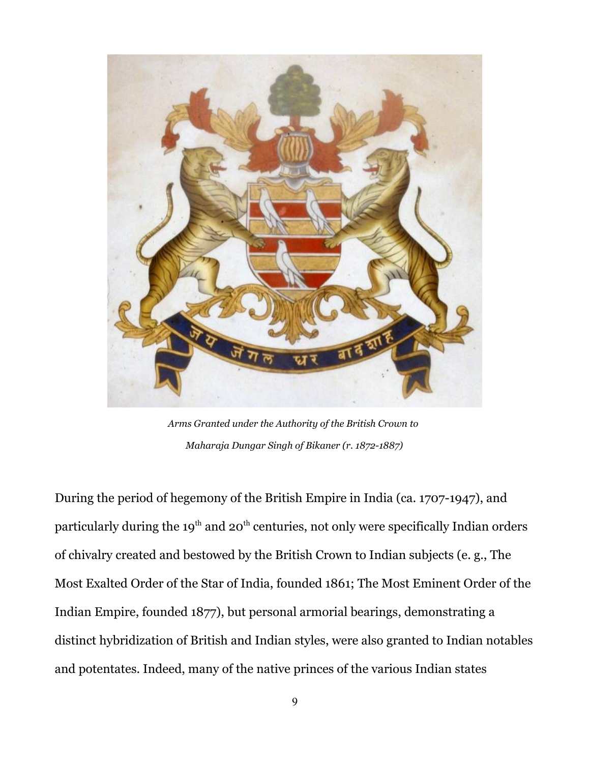

*Arms Granted under the Authority of the British Crown to Maharaja Dungar Singh of Bikaner (r. 1872-1887)*

During the period of hegemony of the British Empire in India (ca. 1707-1947), and particularly during the  $19<sup>th</sup>$  and  $20<sup>th</sup>$  centuries, not only were specifically Indian orders of chivalry created and bestowed by the British Crown to Indian subjects (e. g., The Most Exalted Order of the Star of India, founded 1861; The Most Eminent Order of the Indian Empire, founded 1877), but personal armorial bearings, demonstrating a distinct hybridization of British and Indian styles, were also granted to Indian notables and potentates. Indeed, many of the native princes of the various Indian states